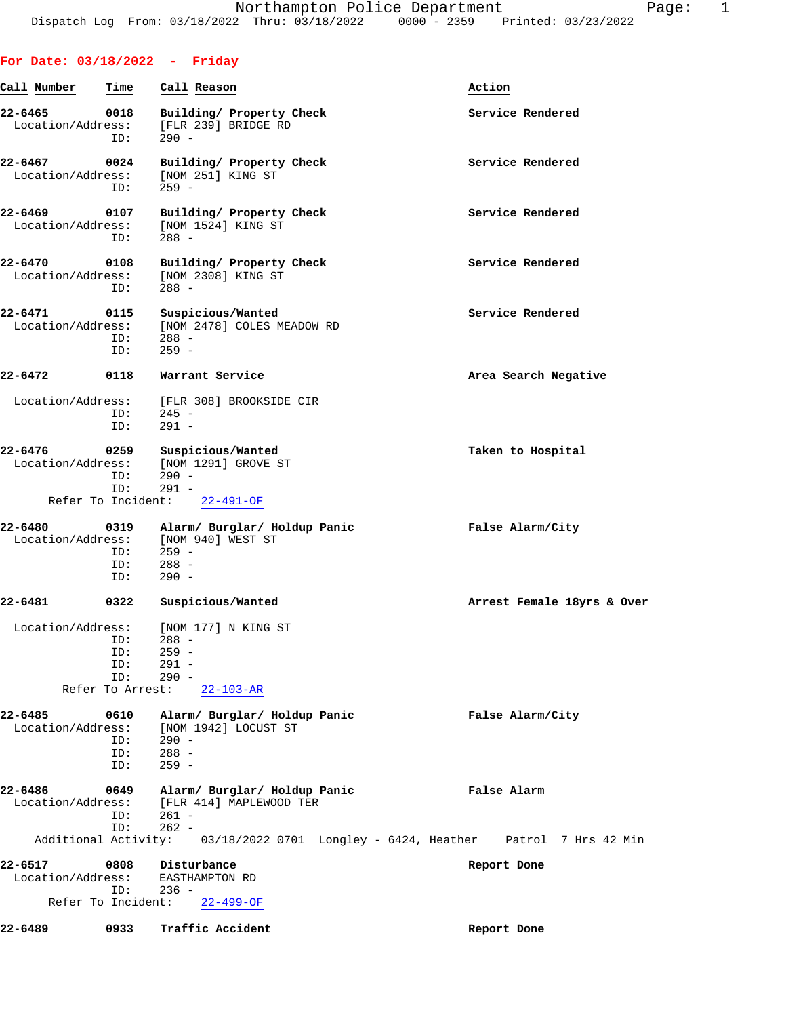## **For Date: 03/18/2022 - Friday**

| Call Number                                        | Time                                         | Call Reason                                                                                 | Action                     |  |
|----------------------------------------------------|----------------------------------------------|---------------------------------------------------------------------------------------------|----------------------------|--|
| 22-6465<br>Location/Address:                       | 0018<br>ID:                                  | Building/ Property Check<br>[FLR 239] BRIDGE RD<br>$290 -$                                  | Service Rendered           |  |
| 22-6467<br>Location/Address:                       | 0024<br>ID:                                  | Building/ Property Check<br>[NOM 251] KING ST<br>$259 -$                                    | Service Rendered           |  |
| 22-6469<br>Location/Address:                       | 0107<br>ID:                                  | Building/ Property Check<br>[NOM 1524] KING ST<br>$288 -$                                   | Service Rendered           |  |
| 22-6470<br>Location/Address:                       | 0108<br>ID:                                  | Building/ Property Check<br>[NOM 2308] KING ST<br>$288 -$                                   | Service Rendered           |  |
| 22-6471<br>Location/Address:                       | 0115<br>ID:<br>ID:                           | Suspicious/Wanted<br>[NOM 2478] COLES MEADOW RD<br>$288 -$<br>$259 -$                       | Service Rendered           |  |
| 22-6472                                            | 0118                                         | Warrant Service                                                                             | Area Search Negative       |  |
| Location/Address:                                  | ID:<br>ID:                                   | [FLR 308] BROOKSIDE CIR<br>$245 -$<br>$291 -$                                               |                            |  |
| 22-6476<br>Location/Address:<br>Refer To Incident: | 0259<br>ID:<br>ID:                           | Suspicious/Wanted<br>[NOM 1291] GROVE ST<br>$290 -$<br>$291 -$                              | Taken to Hospital          |  |
|                                                    |                                              | $22 - 491 - OF$                                                                             |                            |  |
| 22-6480<br>Location/Address:                       | 0319<br>ID:<br>ID:                           | Alarm/ Burglar/ Holdup Panic<br>[NOM 940] WEST ST<br>$259 -$<br>$288 -$                     | False Alarm/City           |  |
|                                                    | ID:                                          | $290 -$                                                                                     |                            |  |
| $22 - 6481$                                        | 0322                                         | Suspicious/Wanted                                                                           | Arrest Female 18yrs & Over |  |
| Location/Address:                                  | ID:<br>ID:<br>ID:<br>ID:<br>Refer To Arrest: | [NOM 177] N KING ST<br>$288 -$<br>$259 -$<br>$291 -$<br>$290 -$<br>$22 - 103 - AR$          |                            |  |
| 22-6485<br>Location/Address:                       | 0610<br>ID:<br>ID:<br>ID:                    | Alarm/ Burglar/ Holdup Panic<br>[NOM 1942] LOCUST ST<br>$290 -$<br>$288 -$<br>$259 -$       | False Alarm/City           |  |
| 22-6486<br>Location/Address:                       | 0649<br>ID:                                  | Alarm/ Burglar/ Holdup Panic<br>[FLR 414] MAPLEWOOD TER<br>$261 -$                          | False Alarm                |  |
|                                                    | ID:                                          | $262 -$<br>Additional Activity: 03/18/2022 0701 Longley - 6424, Heather Patrol 7 Hrs 42 Min |                            |  |
| 22-6517<br>Location/Address:                       | 0808<br>ID:                                  | Disturbance<br>EASTHAMPTON RD<br>$236 -$                                                    | Report Done                |  |
| Refer To Incident:                                 |                                              | $22 - 499 - OF$                                                                             |                            |  |
| 22-6489                                            | 0933                                         | Traffic Accident                                                                            | Report Done                |  |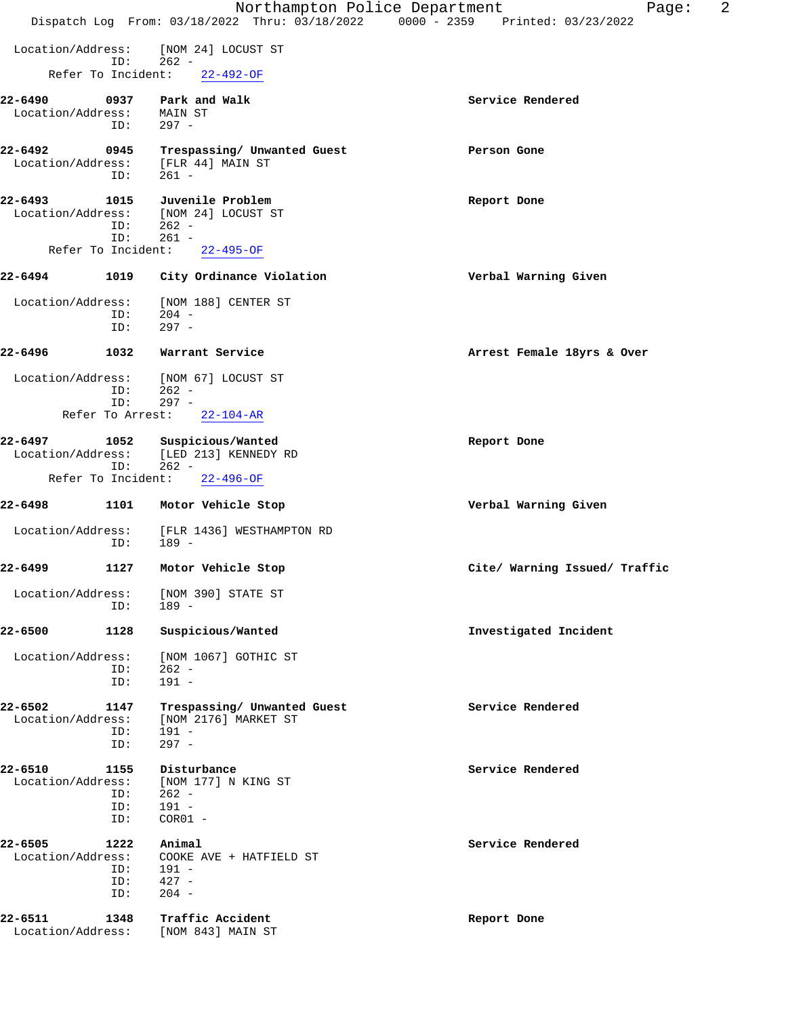|                              |                           | Northampton Police Department<br>Dispatch Log From: 03/18/2022 Thru: 03/18/2022 0000 - 2359 Printed: 03/23/2022 | 2<br>Page:                    |
|------------------------------|---------------------------|-----------------------------------------------------------------------------------------------------------------|-------------------------------|
|                              |                           |                                                                                                                 |                               |
| Location/Address:            | ID:                       | [NOM 24] LOCUST ST<br>$262 -$                                                                                   |                               |
|                              | Refer To Incident:        | $22 - 492 - OF$                                                                                                 |                               |
| 22-6490                      | 0937                      | Park and Walk                                                                                                   | Service Rendered              |
| Location/Address:            | ID:                       | MAIN ST<br>$297 -$                                                                                              |                               |
| 22-6492                      | 0945                      | Trespassing/ Unwanted Guest                                                                                     | Person Gone                   |
| Location/Address:            |                           | [FLR 44] MAIN ST                                                                                                |                               |
|                              | ID:                       | $261 -$                                                                                                         |                               |
| 22-6493<br>Location/Address: | 1015                      | Juvenile Problem<br>[NOM 24] LOCUST ST                                                                          | Report Done                   |
|                              | ID:                       | $262 -$                                                                                                         |                               |
|                              | ID:<br>Refer To Incident: | $261 -$<br>$22 - 495 - OF$                                                                                      |                               |
| 22-6494                      | 1019                      | City Ordinance Violation                                                                                        | Verbal Warning Given          |
|                              |                           |                                                                                                                 |                               |
| Location/Address:            | ID:                       | [NOM 188] CENTER ST<br>$204 -$                                                                                  |                               |
|                              | ID:                       | $297 -$                                                                                                         |                               |
| 22-6496                      | 1032                      | Warrant Service                                                                                                 | Arrest Female 18yrs & Over    |
| Location/Address:            |                           | [NOM 67] LOCUST ST                                                                                              |                               |
|                              | ID:<br>ID:                | $262 -$<br>$297 -$                                                                                              |                               |
|                              | Refer To Arrest:          | $22 - 104 - AR$                                                                                                 |                               |
| $22 - 6497$                  | 1052                      | Suspicious/Wanted                                                                                               | Report Done                   |
| Location/Address:            | ID:                       | [LED 213] KENNEDY RD<br>$262 -$                                                                                 |                               |
|                              | Refer To Incident:        | $22 - 496 - OF$                                                                                                 |                               |
| 22-6498                      | 1101                      | Motor Vehicle Stop                                                                                              | Verbal Warning Given          |
| Location/Address:            |                           | [FLR 1436] WESTHAMPTON RD                                                                                       |                               |
|                              | ID:                       | $189 -$                                                                                                         |                               |
| 22-6499                      | 1127                      | Motor Vehicle Stop                                                                                              | Cite/ Warning Issued/ Traffic |
| Location/Address:            |                           | [NOM 390] STATE ST                                                                                              |                               |
|                              | ID:                       | 189 -                                                                                                           |                               |
| 22-6500                      | 1128                      | Suspicious/Wanted                                                                                               | Investigated Incident         |
| Location/Address:            |                           | [NOM 1067] GOTHIC ST                                                                                            |                               |
|                              | ID:<br>ID:                | $262 -$<br>$191 -$                                                                                              |                               |
| $22 - 6502$                  | 1147                      | Trespassing/ Unwanted Guest                                                                                     | Service Rendered              |
| Location/Address:            |                           | [NOM 2176] MARKET ST                                                                                            |                               |
|                              | ID:<br>ID:                | $191 -$<br>$297 -$                                                                                              |                               |
| 22-6510                      | 1155                      | Disturbance                                                                                                     | Service Rendered              |
| Location/Address:            |                           | [NOM 177] N KING ST<br>$262 -$                                                                                  |                               |
|                              | ID:<br>ID:                | $191 -$                                                                                                         |                               |
|                              | ID:                       | $COR01 -$                                                                                                       |                               |
| 22-6505<br>Location/Address: | 1222                      | Animal<br>COOKE AVE + HATFIELD ST                                                                               | Service Rendered              |
|                              | ID:                       | 191 -                                                                                                           |                               |
|                              | ID:<br>ID:                | $427 -$<br>$204 -$                                                                                              |                               |
| 22-6511                      |                           |                                                                                                                 |                               |
| Location/Address:            | 1348                      | Traffic Accident<br>[NOM 843] MAIN ST                                                                           | Report Done                   |
|                              |                           |                                                                                                                 |                               |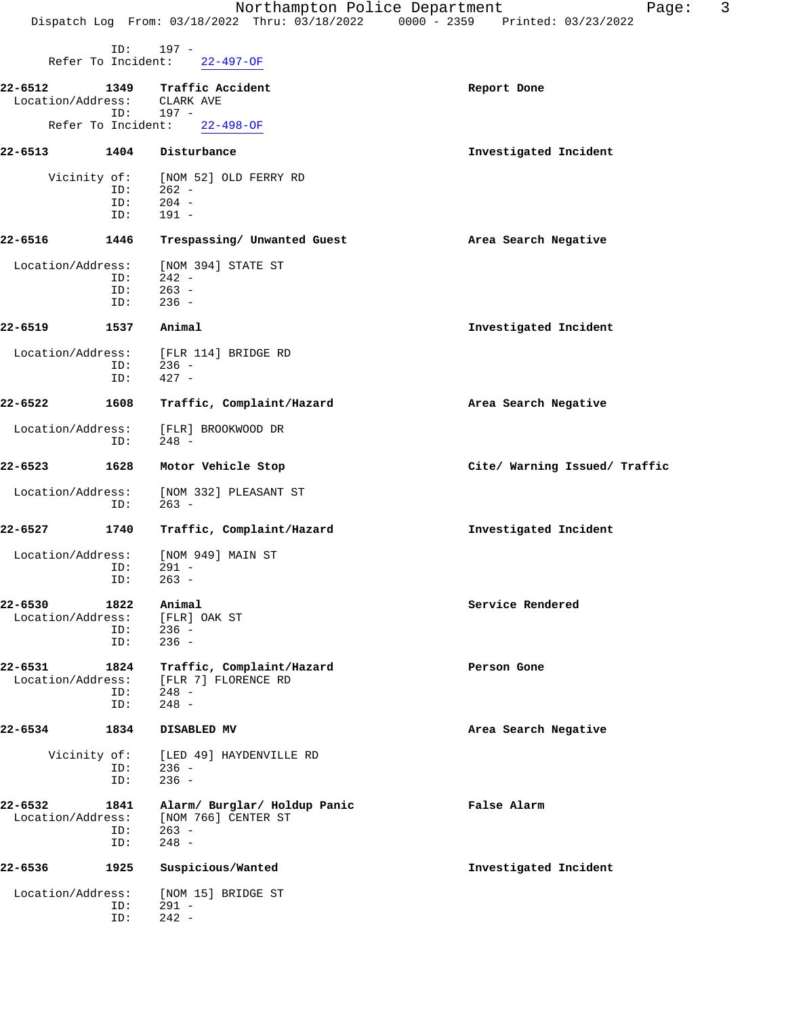| $\sim$<br>. .<br>. . | w |  |
|----------------------|---|--|
|                      |   |  |

|                              | ID:<br>Refer To Incident: | $197 -$<br>22-497-OF                                           |                               |
|------------------------------|---------------------------|----------------------------------------------------------------|-------------------------------|
| 22-6512<br>Location/Address: | 1349                      | Traffic Accident<br>CLARK AVE                                  | Report Done                   |
|                              | ID:                       | 197 -<br>Refer To Incident: 22-498-OF                          |                               |
| 22-6513                      | 1404                      | Disturbance                                                    | Investigated Incident         |
|                              |                           |                                                                |                               |
|                              | Vicinity of:<br>ID:       | [NOM 52] OLD FERRY RD<br>$262 -$                               |                               |
|                              | ID:<br>ID:                | $204 -$<br>$191 -$                                             |                               |
| 22-6516                      | 1446                      | Trespassing/ Unwanted Guest                                    | Area Search Negative          |
| Location/Address:            |                           | [NOM 394] STATE ST                                             |                               |
|                              | ID:                       | $242 -$                                                        |                               |
|                              | ID:<br>ID:                | $263 -$<br>$236 -$                                             |                               |
| $22 - 6519$                  |                           |                                                                |                               |
|                              | 1537                      | Animal                                                         | Investigated Incident         |
| Location/Address:            | ID:                       | [FLR 114] BRIDGE RD<br>236 -                                   |                               |
|                              | ID:                       | $427 -$                                                        |                               |
| 22-6522                      | 1608                      | Traffic, Complaint/Hazard                                      | Area Search Negative          |
| Location/Address:            | ID:                       | [FLR] BROOKWOOD DR<br>248 -                                    |                               |
| 22-6523                      | 1628                      | Motor Vehicle Stop                                             | Cite/ Warning Issued/ Traffic |
| Location/Address:            | ID:                       | [NOM 332] PLEASANT ST<br>263 -                                 |                               |
| 22-6527                      | 1740                      | Traffic, Complaint/Hazard                                      | Investigated Incident         |
| Location/Address:            | ID:                       | [NOM 949] MAIN ST<br>$291 -$                                   |                               |
|                              | ID:                       | $263 -$                                                        |                               |
| 22-6530                      | 1822                      | Animal<br>Location/Address: [FLR] OAK ST                       | Service Rendered              |
|                              | ID:<br>ID:                | $236 -$<br>$236 -$                                             |                               |
| 22-6531<br>Location/Address: | 1824                      | Traffic, Complaint/Hazard<br>[FLR 7] FLORENCE RD               | Person Gone                   |
|                              | ID:<br>ID:                | $248 -$<br>$248 -$                                             |                               |
| 22-6534                      | 1834                      | DISABLED MV                                                    | Area Search Negative          |
|                              | Vicinity of:<br>ID:       | [LED 49] HAYDENVILLE RD<br>$236 -$                             |                               |
|                              | ID:                       | $236 -$                                                        |                               |
| 22-6532<br>Location/Address: | 1841<br>ID:               | Alarm/ Burglar/ Holdup Panic<br>[NOM 766] CENTER ST<br>$263 -$ | False Alarm                   |
|                              | ID:                       | $248 -$                                                        |                               |
| 22-6536                      | 1925                      | Suspicious/Wanted                                              | Investigated Incident         |
| Location/Address:            |                           | [NOM 15] BRIDGE ST                                             |                               |
|                              | ID:<br>ID:                | $291 -$<br>$242 -$                                             |                               |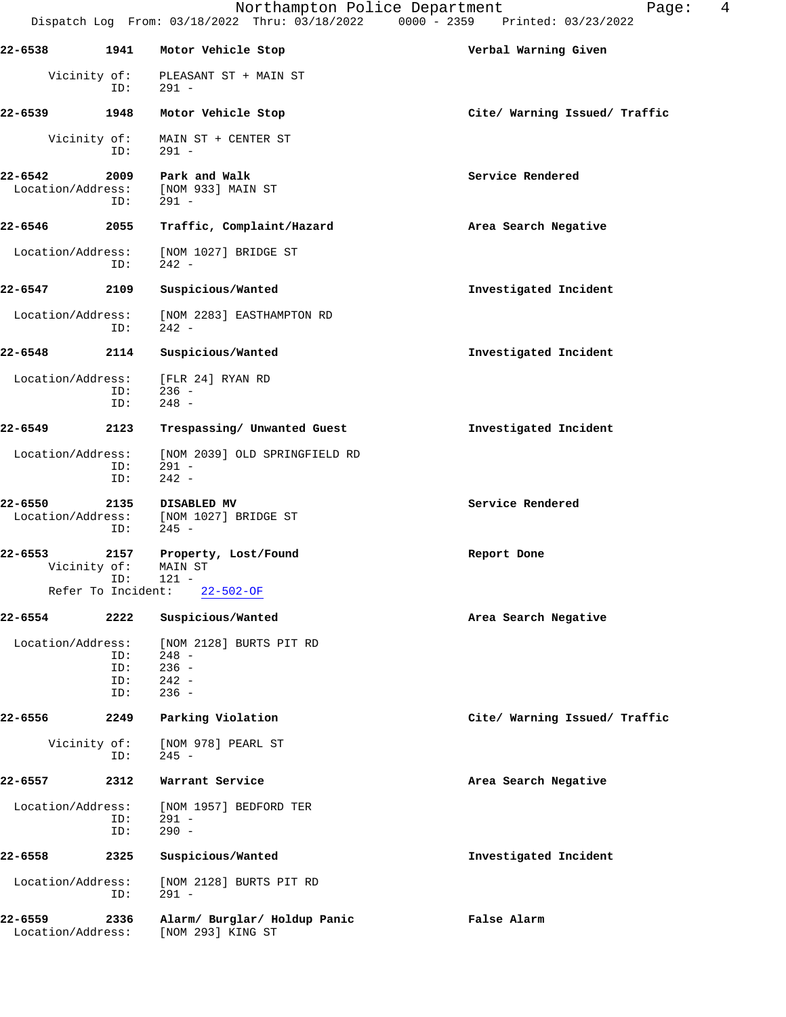|                              |                          | Northampton Police Department                                       | $\overline{4}$<br>Page:<br>Dispatch Log From: 03/18/2022 Thru: 03/18/2022 0000 - 2359 Printed: 03/23/2022 |
|------------------------------|--------------------------|---------------------------------------------------------------------|-----------------------------------------------------------------------------------------------------------|
| 22-6538                      | 1941                     | Motor Vehicle Stop                                                  | Verbal Warning Given                                                                                      |
|                              | Vicinity of:<br>ID:      | PLEASANT ST + MAIN ST<br>$291 -$                                    |                                                                                                           |
| 22-6539                      | 1948                     | Motor Vehicle Stop                                                  | Cite/ Warning Issued/ Traffic                                                                             |
| Vicinity of:                 | ID:                      | MAIN ST + CENTER ST<br>$291 -$                                      |                                                                                                           |
| 22-6542<br>Location/Address: | 2009<br>ID:              | Park and Walk<br>[NOM 933] MAIN ST<br>$291 -$                       | Service Rendered                                                                                          |
| 22-6546                      | 2055                     | Traffic, Complaint/Hazard                                           | Area Search Negative                                                                                      |
| Location/Address:            | ID:                      | [NOM 1027] BRIDGE ST<br>$242 -$                                     |                                                                                                           |
| 22-6547                      | 2109                     | Suspicious/Wanted                                                   | Investigated Incident                                                                                     |
| Location/Address:            | ID:                      | [NOM 2283] EASTHAMPTON RD<br>$242 -$                                |                                                                                                           |
| 22-6548                      | 2114                     | Suspicious/Wanted                                                   | Investigated Incident                                                                                     |
| Location/Address:            | ID:<br>ID:               | [FLR 24] RYAN RD<br>$236 -$<br>$248 -$                              |                                                                                                           |
| 22-6549                      | 2123                     | Trespassing/ Unwanted Guest                                         | Investigated Incident                                                                                     |
| Location/Address:            | ID:<br>ID:               | [NOM 2039] OLD SPRINGFIELD RD<br>$291 -$<br>$242 -$                 |                                                                                                           |
| 22-6550<br>Location/Address: | 2135<br>ID:              | DISABLED MV<br>[NOM 1027] BRIDGE ST<br>$245 -$                      | Service Rendered                                                                                          |
| 22-6553<br>Vicinity of:      | 2157<br>TD:              | Property, Lost/Found<br>MAIN ST<br>$121 -$                          | Report Done                                                                                               |
|                              | Refer To Incident:       | $22 - 502 - OF$                                                     |                                                                                                           |
| 22-6554                      | 2222                     | Suspicious/Wanted                                                   | Area Search Negative                                                                                      |
| Location/Address:            | ID:<br>ID:<br>ID:<br>ID: | [NOM 2128] BURTS PIT RD<br>$248 -$<br>$236 -$<br>$242 -$<br>$236 -$ |                                                                                                           |
| 22-6556                      | 2249                     | Parking Violation                                                   | Cite/ Warning Issued/ Traffic                                                                             |
| Vicinity of:                 | ID:                      | [NOM 978] PEARL ST<br>$245 -$                                       |                                                                                                           |
| 22-6557                      | 2312                     | Warrant Service                                                     | Area Search Negative                                                                                      |
| Location/Address:            | ID:<br>ID:               | [NOM 1957] BEDFORD TER<br>$291 -$<br>$290 -$                        |                                                                                                           |
| 22-6558                      | 2325                     | Suspicious/Wanted                                                   | Investigated Incident                                                                                     |
| Location/Address:            | ID:                      | [NOM 2128] BURTS PIT RD<br>$291 -$                                  |                                                                                                           |
| 22-6559<br>Location/Address: | 2336                     | Alarm/ Burglar/ Holdup Panic<br>[NOM 293] KING ST                   | False Alarm                                                                                               |